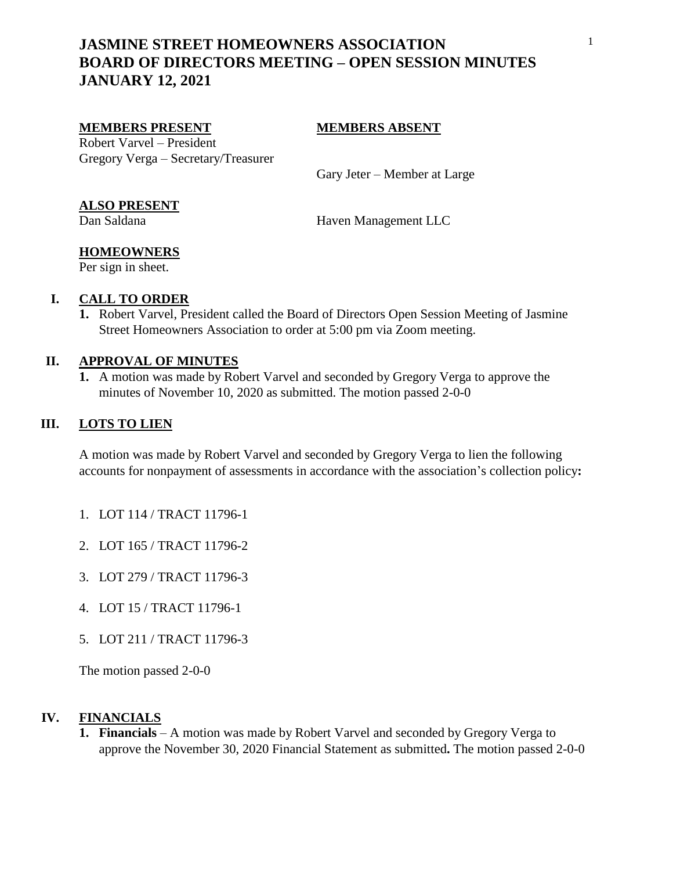# **JASMINE STREET HOMEOWNERS ASSOCIATION BOARD OF DIRECTORS MEETING – OPEN SESSION MINUTES JANUARY 12, 2021**

#### **MEMBERS PRESENT MEMBERS ABSENT**

Robert Varvel – President Gregory Verga – Secretary/Treasurer

Gary Jeter – Member at Large

### **ALSO PRESENT**

Dan Saldana Haven Management LLC

# **HOMEOWNERS**

Per sign in sheet.

### **I. CALL TO ORDER**

**1.** Robert Varvel, President called the Board of Directors Open Session Meeting of Jasmine Street Homeowners Association to order at 5:00 pm via Zoom meeting.

### **II. APPROVAL OF MINUTES**

**1.** A motion was made by Robert Varvel and seconded by Gregory Verga to approve the minutes of November 10, 2020 as submitted. The motion passed 2-0-0

### **III. LOTS TO LIEN**

A motion was made by Robert Varvel and seconded by Gregory Verga to lien the following accounts for nonpayment of assessments in accordance with the association's collection policy**:**

- 1. LOT 114 / TRACT 11796-1
- 2. LOT 165 / TRACT 11796-2
- 3. LOT 279 / TRACT 11796-3
- 4. LOT 15 / TRACT 11796-1
- 5. LOT 211 / TRACT 11796-3

The motion passed 2-0-0

### **IV. FINANCIALS**

**1. Financials** – A motion was made by Robert Varvel and seconded by Gregory Verga to approve the November 30, 2020 Financial Statement as submitted**.** The motion passed 2-0-0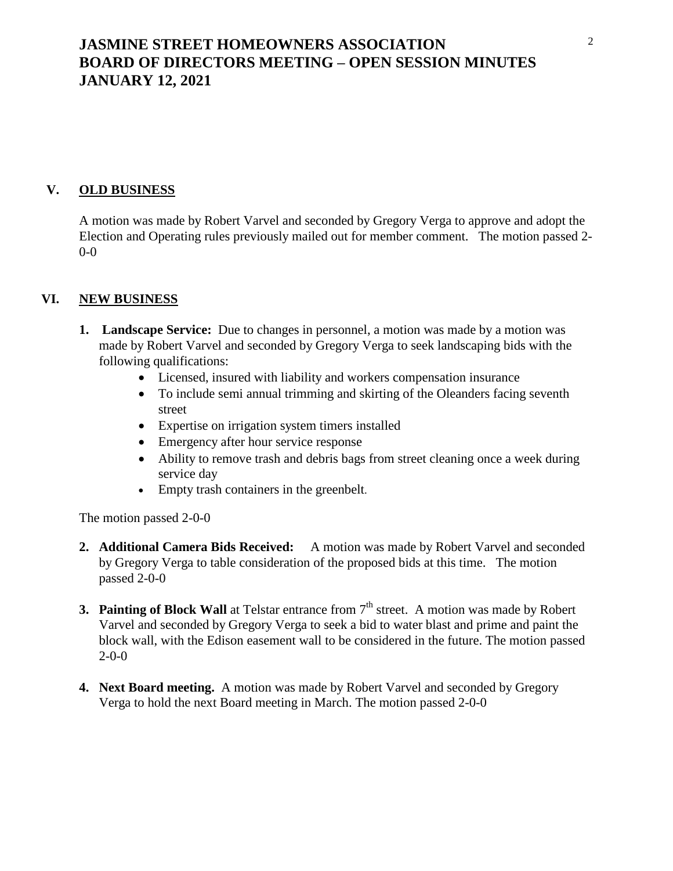# **JASMINE STREET HOMEOWNERS ASSOCIATION BOARD OF DIRECTORS MEETING – OPEN SESSION MINUTES JANUARY 12, 2021**

### **V. OLD BUSINESS**

A motion was made by Robert Varvel and seconded by Gregory Verga to approve and adopt the Election and Operating rules previously mailed out for member comment. The motion passed 2- 0-0

### **VI. NEW BUSINESS**

- **1. Landscape Service:** Due to changes in personnel, a motion was made by a motion was made by Robert Varvel and seconded by Gregory Verga to seek landscaping bids with the following qualifications:
	- Licensed, insured with liability and workers compensation insurance
	- To include semi annual trimming and skirting of the Oleanders facing seventh street
	- Expertise on irrigation system timers installed
	- Emergency after hour service response
	- Ability to remove trash and debris bags from street cleaning once a week during service day
	- Empty trash containers in the greenbelt.

The motion passed 2-0-0

- **2. Additional Camera Bids Received:** A motion was made by Robert Varvel and seconded by Gregory Verga to table consideration of the proposed bids at this time. The motion passed 2-0-0
- **3. Painting of Block Wall** at Telstar entrance from 7<sup>th</sup> street. A motion was made by Robert Varvel and seconded by Gregory Verga to seek a bid to water blast and prime and paint the block wall, with the Edison easement wall to be considered in the future. The motion passed  $2 - 0 - 0$
- **4. Next Board meeting.** A motion was made by Robert Varvel and seconded by Gregory Verga to hold the next Board meeting in March. The motion passed 2-0-0